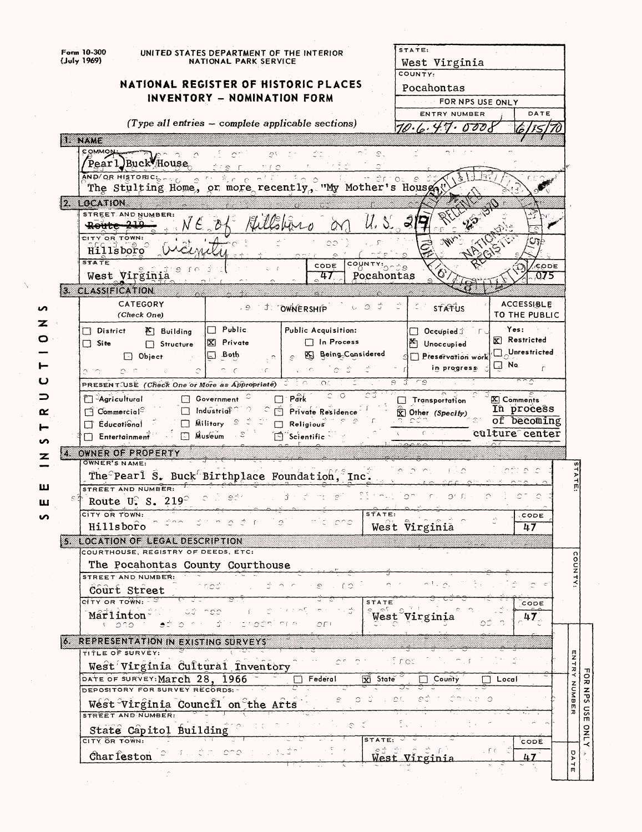|                                 |                                                                                                | NATIONAL PARK SERVICE |                     |                     | West Virginia<br>COUNTY:                   |                       |                                                |
|---------------------------------|------------------------------------------------------------------------------------------------|-----------------------|---------------------|---------------------|--------------------------------------------|-----------------------|------------------------------------------------|
|                                 | NATIONAL REGISTER OF HISTORIC PLACES                                                           |                       |                     |                     | Pocahontas                                 |                       |                                                |
|                                 | INVENTORY - NOMINATION FORM                                                                    |                       |                     |                     |                                            | FOR NPS USE ONLY      |                                                |
|                                 | $(\textit{Type all entries -- complete applicable sections})$                                  |                       |                     |                     | ENTRY NUMBER                               |                       | DATE                                           |
|                                 |                                                                                                |                       |                     |                     | 7D · 60 ·                                  | 1500,                 |                                                |
| <b>1. NAME</b><br><b>COMMO!</b> |                                                                                                | $\tau$ .              |                     | 2.                  |                                            |                       |                                                |
|                                 | $\text{Pearl}$ Buck House                                                                      |                       |                     |                     |                                            |                       |                                                |
|                                 | AND/OR HISTORICS ON OUT A.C. C. OL<br>The Stulting Home, or more recently, "My Mother's House, |                       | folo                |                     | $OC - C$                                   |                       |                                                |
| [2 LOCATION]                    |                                                                                                |                       |                     |                     |                                            |                       |                                                |
|                                 | STREET AND NUMBER:                                                                             |                       |                     |                     |                                            |                       |                                                |
|                                 | حدث                                                                                            |                       |                     |                     |                                            |                       |                                                |
| CITY OR TOWN:<br>Hillsboro      |                                                                                                |                       | CO                  |                     | 741                                        |                       |                                                |
| <b>STATE</b>                    |                                                                                                |                       | CODE                | <b>COUNTY:</b> 0009 |                                            |                       | соре                                           |
|                                 | West Virginia                                                                                  |                       | 47                  | Pocahontas          |                                            |                       | 075                                            |
| 3 CLASSIFICATION                |                                                                                                |                       |                     |                     |                                            |                       |                                                |
|                                 | CATEGORY<br>(Check One)                                                                        | , 9                   | <b>JUIOWNERSHIP</b> | Θ.                  | STATUS                                     |                       | <b>ACCESSIBLE</b><br>TO THE PUBLIC             |
| $\Box$ District                 | <b>K</b> Building                                                                              | $\square$ Public      | Public Acquisition: |                     | $\Box$ Occupied $\mathbb{J}$               | Yes:<br>$\Gamma$      |                                                |
| $\Box$ Site                     | Structure                                                                                      | X Private             | $\Box$ In Process   |                     | Unoccupied                                 | Restricted            |                                                |
|                                 | IJ<br>$\Box$ Object                                                                            | <b>Both</b>           |                     | Being Considered    | Preservation work<br>in progress           | $\Box$ No.            | $\Box_{\scriptscriptstyle\wedge}$ Unrestricted |
|                                 |                                                                                                | $\epsilon$            | Юś.<br>I O          | 9                   | C9.                                        |                       | L<br>ಾತ                                        |
| Agricultural                    | PRESENT USE (Check One or More as Appropriate)<br>$\Box$ Government $\circ$                    |                       | $\Box$ Park         |                     |                                            | $\mathbb{Z}$ Comments |                                                |
| $\Box$ Commercial <sup>S</sup>  | $\Box$ Industrial $\cap$                                                                       |                       | Private Residence   |                     | $\Box$ Transportation<br>V Other (Specify) |                       | In process                                     |
| $\Box$ Educational              | $\Box$ Military $\theta \stackrel{+}{\circ}$                                                   |                       | $\Box$ Religious    |                     |                                            |                       | of becoming                                    |
|                                 | □ Museum 8<br>Entertainment                                                                    |                       | $\Box$ Scientific   |                     |                                            | culture center        |                                                |
|                                 |                                                                                                |                       |                     |                     |                                            |                       |                                                |
|                                 | OWNER OF PROPERTY                                                                              |                       |                     |                     |                                            |                       |                                                |
| OWNER'S NAME:                   |                                                                                                |                       |                     |                     |                                            |                       | ati e le                                       |
|                                 | The Pearl S. Buck Birthplace Foundation, Inc.<br>STREET AND NUMBER:                            |                       |                     |                     |                                            |                       |                                                |
|                                 | Route $U^{\circ}$ S. 219 $^{\circ}$                                                            | ೨೧                    |                     |                     | O.                                         |                       |                                                |
| CITY OR TOWN:                   | - ಕಂಡ<br>ವೆಲ್ಲಾಗಿ ಸ                                                                            | 0.5 <sub>0</sub>      | $\Omega$            | STATE:              |                                            |                       | CODE                                           |
| Hillsboro                       | 5. LOCATION OF LEGAL DESCRIPTION                                                               |                       |                     |                     | West virginia                              |                       | 47                                             |
|                                 | COURTHOUSE, REGISTRY OF DEEDS, ETC:                                                            |                       |                     |                     |                                            |                       |                                                |
|                                 | The Pocahontas County Courthouse                                                               |                       |                     |                     |                                            |                       |                                                |
|                                 | STREET AND NUMBER:<br>೧೦೮                                                                      |                       | C,                  | £Э                  |                                            |                       |                                                |
| <b>QITY OR TOWN:</b>            | Court Street                                                                                   |                       |                     | <b>STATE</b>        |                                            |                       | CODE                                           |
| Marlinton                       |                                                                                                | оŕ                    |                     | ಂ೯                  | West Virginia                              |                       | 47                                             |
| $V = 0.00$                      |                                                                                                |                       | or i                |                     |                                            |                       |                                                |
| TITLE OF SURVEY:                | REPRESENTATION IN EXISTING SURVEYS                                                             |                       |                     |                     |                                            |                       |                                                |
|                                 | West Virginia Cultural Inventory                                                               |                       |                     |                     | FCC                                        |                       |                                                |
|                                 | DATE OF SURVEY: March 28, 1966                                                                 |                       | Federal<br>n.       | X State             | County                                     | Local                 |                                                |
|                                 | DEPOSITORY FOR SURVEY RECORDS:                                                                 |                       |                     |                     |                                            | $\circ$               |                                                |
|                                 | West Virginia Council on the Arts<br>STREET AND NUMBER:                                        |                       |                     |                     |                                            |                       |                                                |
|                                 | State Capitol Building                                                                         |                       |                     |                     |                                            |                       |                                                |
| CITY OR TOWN:<br>Char feston    |                                                                                                | $C \cap C$            |                     | STATE:<br>SĞ.       | <u>West Virgini</u>                        |                       | CODE<br>47                                     |

 $\propto \sqrt{2\pi}$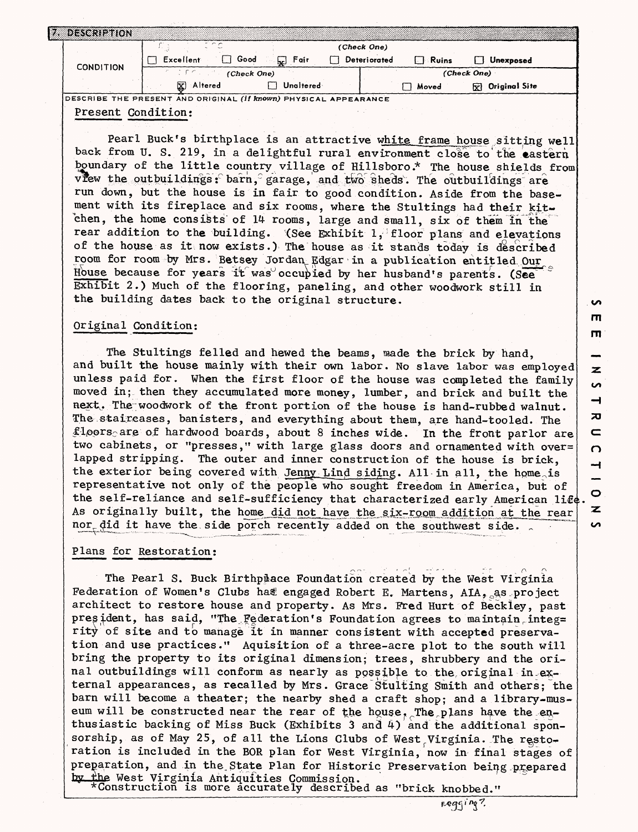|                  |              |                     | (Check One)  |              |                     |
|------------------|--------------|---------------------|--------------|--------------|---------------------|
|                  | Excellent    | Good<br>Fair<br>اعط | Deteriorated | $\Box$ Ruins | Unexposed           |
| <b>CONDITION</b> |              | (Check One)         |              |              | (Check One)         |
|                  | Altered<br>W | Unaltered           |              | Moved        | Original Site<br>ਲਿ |

## Present Condition;

Pearl Buck's birthplace is an attractive white frame house sitting well back from U. S. 219, in a delightful rural environment close to the eastern boundary of the little country village of Hillsboro.\* The house shields from view the outbuildings; barn, garage, and two sheds. The outbuildings are run down, but the house is in fair to good condition. Aside from the basement with its fireplace and six rooms, where the Stultings had their kitchen, the home consists of  $14$  rooms, large and small, six of them in the rear addition to the building. (See Exhibit  $1,$  floor plans and elevations of the house as it now exists.) The house as it stands today is described room for room by Mrs. Betsey Jordan Edgar in a publication entitled Our House because for years it was occupied by her husband's parents. (See Exhibit 2.) Much of the flooring, paneling, and other woodwork still in the building dates back to the original structure.

## Original Condition;

The Stultings felled and hewed the beams, made the brick by hand. and built the house mainly with their own labor. No slave labor was employed unless paid for. When the first floor of the house was completed the family moved in; then they accumulated more money, lumber, and brick and built the next. The woodwork of the front portion of the house is hand-rubbed walnut. The staireases, banisters, and everything about them, are hand-tooled. The floors<sub>c</sub>are of hardwood boards, about 8 inches wide. In the front parlor are two cabinets, or "presses," with large glass doors and ornamented with over= lapped stripping. The outer and inner construction of the house is brick, the exterior being covered with Jenny Lind siding. All in all, the home is representative not only of the people who sought freedom in America, but of the self-reliance and self-sufficiency that characterized early American life As originally built, the home did not have the six-room addition at the rear nor did it have the side porch recently added on the southwest side.

## Plans for Restoration;

The Pearl S. Buck Birthplace Foundation created by the West Virginia Federation of Women's Clubs has engaged Robert E. Martens, AIA, as project architect to restore house and property. As Mrs. Fred Hurt of Beckley, past president, has said, "The Federation's Foundation agrees to maintain integ= rity of site and to manage it in manner consistent with accepted preservation and use practices." Aquisition of a three-acre plot to the south will bring the property to its original dimension; trees, shrubbery and the orinal outbuildings will conform as nearly as possible to the original in external appearances, as recalled by Mrs. Grace Stulting Smith and others; the barn will become a theater; the nearby shed a craft shop; and a library-museum will be constructed near the rear of the house, The plans have the enthusiastic backing of Miss Buck (Exhibits 3 and 4) and the additional sponsorship, as of May 25, of all the Lions Clubs of West Virginia. The restoration is included in the BOR plan for West Virginia, now in final stages of preparation, and in the State Plan for Historic Preservation being prepared by the West Virginia Antiquities Commission.

^Construction is more accurately described as "brick knobbed."

regging?

 $\sim$  $\mathbf{m}$  $\mathbf{m}$ 

> $\overline{z}$  $\overline{a}$  $\overline{\phantom{0}}$  $\overline{\mathbf{x}}$ C O  $\rightarrow$

O  $\mathbf{z}$ **S**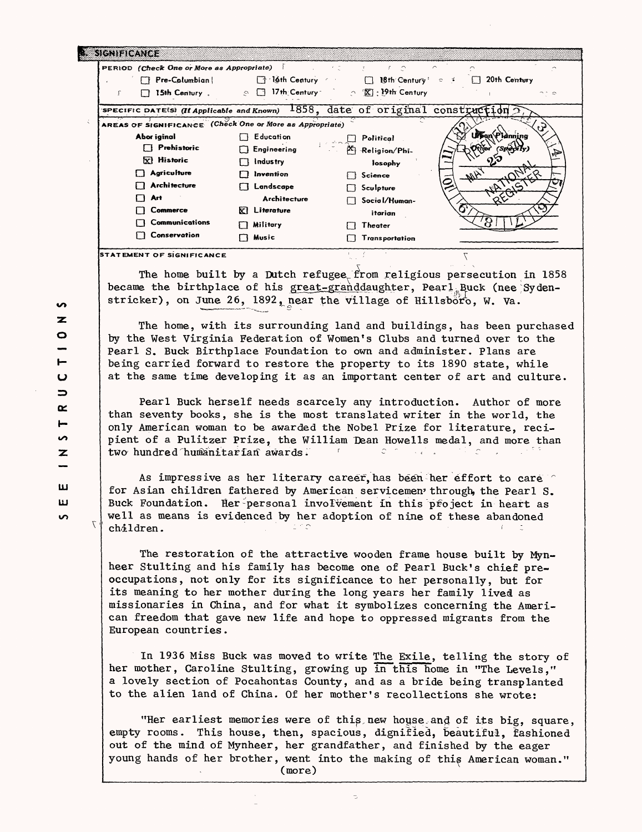| <b>A MENDELONICE.</b>                                                             |                                                                               |                                         |                      |
|-----------------------------------------------------------------------------------|-------------------------------------------------------------------------------|-----------------------------------------|----------------------|
| PERIOD (Check One or More as Appropriate)                                         |                                                                               |                                         |                      |
| Pre-Columbian                                                                     |                                                                               | □ 16th Century ( □ 18th Century ( o i □ | 20th Century         |
| 15th Century.                                                                     | $\circ$ $\Box$ 17th Century $\circ$ $\circ$ $\mathbb{K}$ $\circ$ 19th Century |                                         | $\cap$ $\cap$ $\cap$ |
| SPECIFIC DATE(S) (If Applicable and Known) $1858$ , date of original construction |                                                                               |                                         |                      |
| AREAS OF SIGNIFICANCE (Check One or More as Appropriate)                          |                                                                               |                                         |                      |
| Abor iginal                                                                       | Education                                                                     | Political                               | Ufon Planning        |
| $\Box$ Prehistoric                                                                | $\Box$ Engineering                                                            | Religion/Phi-                           |                      |
| $\mathbf{\nabla}$ Historic                                                        | $\Box$ Industry                                                               | losophy                                 |                      |
| Agriculture                                                                       | Invention                                                                     | Science                                 |                      |
| <b>Architecture</b>                                                               | □ Landscape                                                                   | $\Box$ Sculpture                        |                      |
| Art                                                                               | Architecture                                                                  | Social/Human-                           |                      |
| Commerce                                                                          | <b>KI</b> Literature                                                          | itarian                                 |                      |
| Communications                                                                    | Military                                                                      | Theater                                 |                      |
| Conservation                                                                      | Music                                                                         | Transportation                          |                      |
| STATEMENT OF SIGNIFICANCE                                                         |                                                                               |                                         |                      |

The home built by a Dutch refugee from religious persecution in 1858 became the birthplace of his great-granddaughter, Pearl Buck (nee Sydenstricker), on June 26, 1892, near the village of Hillsboro, W. Va.

The home, with its surrounding land and buildings, has been purchased by the West Virginia Federation of Women's Clubs and turned over to the Pearl S. Buck Birthplace Foundation to own and administer. Plans are being carried forward to restore the property to its 1890 state, while at the same time developing it as an important center of art and culture.

Pearl Buck herself needs scarcely any introduction. Author of more than seventy books, she is the most translated writer in the world, the only American woman to be awarded the Nobel Prize for literature, recipient of a Pulitzer Prize, the William Dean Howells medal, and more than two hundred humanitarian awards. **Reserve the Setting of Property August** 2016.  $\sim$ 

As impressive as her literary career, has been her effort to care  $\circ$ for Asian children fathered by American servicemen through, the Pearl S. Buck Foundation. Her personal involvement in this project in heart as well as means is evidenced by her adoption of nine of these abandoned ch $\delta$ ldren. R f : and  $\delta$  : and  $\delta$  : and  $\delta$  : and  $\delta$  : and  $\delta$  : and  $\delta$  : and  $\delta$  : and  $\delta$  : and  $\delta$  : and  $\delta$  : and  $\delta$  : and  $\delta$  : and  $\delta$  : and  $\delta$  : and  $\delta$  : and  $\delta$  : and  $\delta$  : and  $\delta$  : and

The restoration of the attractive wooden frame house built by Mynheer Stulting and his family has become one of Pearl Buck's chief preoccupations, not only for its significance to her personally, but for its meaning to her mother during the long years her family lived as missionaries in China, and for what it symbolizes concerning the American freedom that gave new life and hope to oppressed migrants from the European countries.

In 1936 Miss Buck was moved to write The Exile, telling the story of her mother, Caroline Stulting, growing up in this home in "The Levels," a lovely section of Pocahontas County, and as a bride being transplanted to the alien land of China. Of her mother's recollections she wrote:

"Her earliest memories were of this new house and of its big, square, empty rooms. This house, then, spacious, dignified, beautiful, fashioned out of the mind of Mynheer, her grandfather, and finished by the eager young hands of her brother, went into the making of this American woman." (more)

 $\bar{\omega}_j$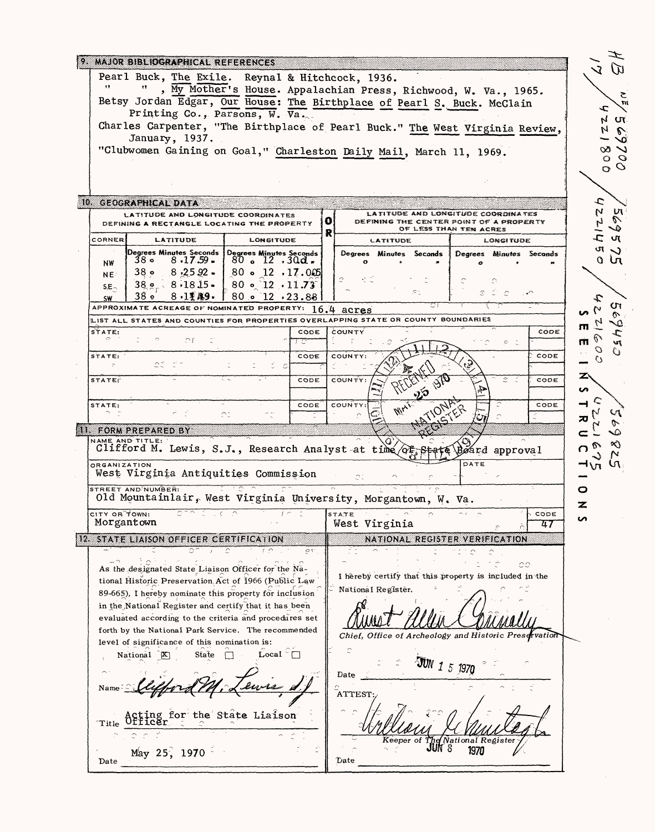| 9. MAJOR BIBLIDGRAPHICAL REFERENCES |                                                                                                                                                                       |                                                                                                                 |                                                                                        |      |                                                                              | $\overline{V}$<br>ũ                                               |                      |  |  |
|-------------------------------------|-----------------------------------------------------------------------------------------------------------------------------------------------------------------------|-----------------------------------------------------------------------------------------------------------------|----------------------------------------------------------------------------------------|------|------------------------------------------------------------------------------|-------------------------------------------------------------------|----------------------|--|--|
|                                     | Pearl Buck, The Exile. Reynal & Hitchcock, 1936.                                                                                                                      |                                                                                                                 |                                                                                        |      |                                                                              |                                                                   |                      |  |  |
|                                     | , My Mother's House. Appalachian Press, Richwood, W. Va., 1965.                                                                                                       |                                                                                                                 |                                                                                        |      |                                                                              |                                                                   |                      |  |  |
|                                     | Betsy Jordan Edgar, Our House: The Birthplace of Pearl S. Buck. McClain<br>Printing Co., Parsons, W. Va.                                                              |                                                                                                                 |                                                                                        |      |                                                                              |                                                                   |                      |  |  |
|                                     | Charles Carpenter, "The Birthplace of Pearl Buck." The West Virginia Review,                                                                                          |                                                                                                                 |                                                                                        |      |                                                                              |                                                                   |                      |  |  |
|                                     | January, 1937.                                                                                                                                                        |                                                                                                                 |                                                                                        |      |                                                                              |                                                                   |                      |  |  |
|                                     | "Clubwomen Gaining on Goal," Charleston Daily Mail, March 11, 1969.                                                                                                   |                                                                                                                 |                                                                                        |      |                                                                              |                                                                   |                      |  |  |
|                                     |                                                                                                                                                                       |                                                                                                                 |                                                                                        |      |                                                                              |                                                                   |                      |  |  |
|                                     |                                                                                                                                                                       |                                                                                                                 |                                                                                        |      |                                                                              |                                                                   |                      |  |  |
|                                     | 10. GEOGRAPHICAL DATA<br>LATITUDE AND LONGITUDE COORDINATES<br>LATITUDE AND LONGITUDE COORDINATES                                                                     |                                                                                                                 |                                                                                        |      |                                                                              |                                                                   |                      |  |  |
|                                     |                                                                                                                                                                       | DEFINING A RECTANGLE LOCATING THE PROPERTY                                                                      |                                                                                        | o    |                                                                              | DEFINING THE CENTER POINT OF A PROPERTY<br>OF LESS THAN TEN ACRES | $N$ $U$<br>- 31<br>ے |  |  |
|                                     | CORNER                                                                                                                                                                | <b>LATITUDE</b>                                                                                                 | <b>LONGITUDE</b>                                                                       | R    | LATITUDE                                                                     | <b>LONGITUDE</b>                                                  | しっ                   |  |  |
|                                     | NW                                                                                                                                                                    |                                                                                                                 | Degrees Minutes Seconds Degrees Minutes Seconds<br>  38 o 8 +17.59 »   80 o 12 + 30d » |      | Degrees Minutes Seconds                                                      | Degrees<br>Minutes Seconds                                        | $\sim$ 10<br>o lo    |  |  |
|                                     | NE.                                                                                                                                                                   | 38 <sub>9</sub><br>$8.25.92$ .                                                                                  | $[80 \t{0} 12 \t{0} 17.005]$                                                           |      |                                                                              |                                                                   |                      |  |  |
|                                     | $S, E \sim$                                                                                                                                                           | 389.81815<br>8.1449.                                                                                            | $80 \cdot 12 \cdot 11.73$                                                              |      |                                                                              |                                                                   |                      |  |  |
|                                     | SW                                                                                                                                                                    | ہ 38<br>APPROXIMATE ACREAGE OF NOMINATED PROPERTY:                                                              | $80 \cdot 12 \cdot 23.88$                                                              | 16.4 | acres                                                                        |                                                                   | L<br>cη              |  |  |
|                                     |                                                                                                                                                                       | LIST ALL STATES AND COUNTIES FOR PROPERT                                                                        |                                                                                        |      | PPING STATE OR COUNTY                                                        | <b>BOUNDARIES</b>                                                 | ∾                    |  |  |
|                                     | STATE:                                                                                                                                                                |                                                                                                                 | CODE                                                                                   |      | <b>COUNTY</b>                                                                | CODE                                                              | ς<br>w               |  |  |
|                                     | STATE:                                                                                                                                                                |                                                                                                                 | CODE                                                                                   |      | COUNTY:                                                                      | CODE                                                              | O<br>€<br>Ĉ١         |  |  |
|                                     |                                                                                                                                                                       |                                                                                                                 |                                                                                        |      |                                                                              |                                                                   | Z,                   |  |  |
|                                     | <b>STATE:</b>                                                                                                                                                         |                                                                                                                 | CODE                                                                                   |      | COUNTY:                                                                      | CODE                                                              | n                    |  |  |
|                                     | STATE:                                                                                                                                                                |                                                                                                                 | CODE                                                                                   |      | COUNTY:                                                                      | CODE                                                              |                      |  |  |
|                                     |                                                                                                                                                                       |                                                                                                                 | Ωt                                                                                     |      | C.                                                                           |                                                                   | 20                   |  |  |
|                                     |                                                                                                                                                                       | <b>III FORM PREPARED BY</b><br>NAME AND TITLE:                                                                  |                                                                                        |      | $\mathcal{G}_j$                                                              |                                                                   | Ω                    |  |  |
|                                     |                                                                                                                                                                       |                                                                                                                 | Clifford M. Lewis, S.J., Research Analyst at time $\sqrt{\alpha}$ .                    |      |                                                                              | Bøard approval                                                    | ∾<br>∾               |  |  |
|                                     | <b>ORGANIZATION</b>                                                                                                                                                   | West Virginia Antiquities Commission                                                                            |                                                                                        |      |                                                                              | DATE                                                              | W<br>VI              |  |  |
|                                     |                                                                                                                                                                       | STREET AND NUMBER:                                                                                              |                                                                                        |      | Old Mountainlair, West Virginia University, Morgantown, W. Va.               |                                                                   | О                    |  |  |
|                                     | CITY OR FOWN:                                                                                                                                                         | 076.<br>$\mathbb{C} \cup \mathbb{C} \cup \mathbb{C}$                                                            |                                                                                        |      | STATE                                                                        | CODE                                                              | z                    |  |  |
|                                     | Morgantown                                                                                                                                                            |                                                                                                                 |                                                                                        |      | West Virginia                                                                | 47                                                                |                      |  |  |
|                                     |                                                                                                                                                                       | 12 STATE LIAISON OFFICER CERTIFICATION                                                                          | $\sim$ 7 $^\circ$                                                                      |      | NATIONAL REGISTER VERIFICATION                                               |                                                                   |                      |  |  |
|                                     |                                                                                                                                                                       |                                                                                                                 |                                                                                        |      |                                                                              | CO                                                                |                      |  |  |
|                                     | As the designated State Liaison Officer for the Na-<br>tional Historic Preservation Act of 1966 (Public Law<br>89-665), I hereby nominate this property for inclusion |                                                                                                                 |                                                                                        |      | I hereby certify that this property is included in the                       |                                                                   |                      |  |  |
|                                     |                                                                                                                                                                       |                                                                                                                 |                                                                                        |      | National Register.                                                           |                                                                   |                      |  |  |
|                                     |                                                                                                                                                                       | in the National Register and certify that it has been<br>evaluated according to the criteria and procedures set |                                                                                        |      |                                                                              |                                                                   |                      |  |  |
|                                     |                                                                                                                                                                       | forth by the National Park Service. The recommended                                                             |                                                                                        |      |                                                                              |                                                                   |                      |  |  |
|                                     |                                                                                                                                                                       | level of significance of this nomination is:                                                                    |                                                                                        |      |                                                                              | Chief, Office of Archeology and Historic Preservation             |                      |  |  |
|                                     |                                                                                                                                                                       | National [X]<br>State                                                                                           | $Local^-$                                                                              |      | $500N$ 1 5 1970                                                              |                                                                   |                      |  |  |
|                                     |                                                                                                                                                                       |                                                                                                                 |                                                                                        |      | Date                                                                         |                                                                   |                      |  |  |
|                                     | Name                                                                                                                                                                  |                                                                                                                 |                                                                                        |      | $\stackrel{\scriptscriptstyle \circ}{\phantom{}_{\mathsf{A}T\text{TEST}}}$ : |                                                                   |                      |  |  |
|                                     |                                                                                                                                                                       |                                                                                                                 |                                                                                        |      |                                                                              |                                                                   |                      |  |  |
|                                     | $\lceil \text{Title} \rceil$                                                                                                                                          | Acting for the State Liaison<br>Ufficer                                                                         |                                                                                        |      |                                                                              |                                                                   |                      |  |  |
|                                     |                                                                                                                                                                       |                                                                                                                 |                                                                                        |      | Keeper of                                                                    | The National Register                                             |                      |  |  |
|                                     | Date                                                                                                                                                                  | May $25, 1970$                                                                                                  |                                                                                        |      | JUN 8<br>Date                                                                | 1970                                                              |                      |  |  |
|                                     |                                                                                                                                                                       |                                                                                                                 |                                                                                        |      |                                                                              |                                                                   |                      |  |  |

 $\epsilon$